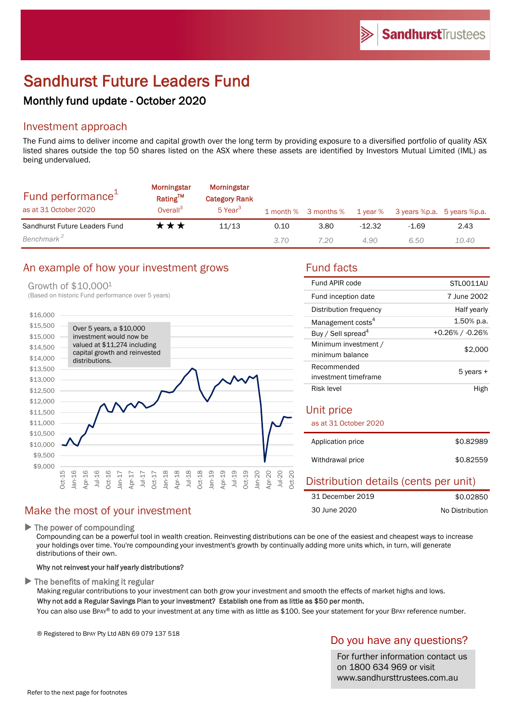# Sandhurst Future Leaders Fund

# Monthly fund update - October 2020

## Investment approach

The Fund aims to deliver income and capital growth over the long term by providing exposure to a diversified portfolio of quality ASX listed shares outside the top 50 shares listed on the ASX where these assets are identified by Investors Mutual Limited (IML) as being undervalued.

| Fund performance <sup>1</sup><br>as at 31 October 2020 | <b>Morningstar</b><br>Rating™<br>Overall <sup>3</sup> | Morningstar<br><b>Category Rank</b><br>5 Year <sup>3</sup> |      | 1 month % 3 months % |          | 1 year % 3 years %p.a. 5 years %p.a. |       |
|--------------------------------------------------------|-------------------------------------------------------|------------------------------------------------------------|------|----------------------|----------|--------------------------------------|-------|
| Sandhurst Future Leaders Fund                          | ***                                                   | 11/13                                                      | 0.10 | 3.80                 | $-12.32$ | $-1.69$                              | 2.43  |
| Benchmark <sup>2</sup>                                 |                                                       |                                                            | 3.70 | 7.20                 | 4.90     | 6.50                                 | 10.40 |

#### An example of how your investment grows Fund facts

#### Growth of \$10,0001

\$9,000 \$9,500 \$10,000 \$10,500 \$11,000 \$11,500 \$12,000 \$12,500 \$13,000 \$13,500 \$14,000 \$14,500 \$15,000 \$15,500 \$16,000 Oct-15 Jan-16 Apr-16 Jul-16 Oct-16 Jan-17 Apr-17 Jul-17 Oct-17 Jan-18 Apr-18 Jul-18 Oct-18 Jan-19 Apr-19 Jul-19 Oct-19 Jan-20 Apr-20 Jul-20 (Based on historic Fund performance over 5 years) Over 5 years, a \$10,000 investment would now be valued at \$11,274 including capital growth and reinvested distributions.

#### Make the most of your investment

 $\blacktriangleright$  The power of compounding

Compounding can be a powerful tool in wealth creation. Reinvesting distributions can be one of the easiest and cheapest ways to increase your holdings over time. You're compounding your investment's growth by continually adding more units which, in turn, will generate distributions of their own.

Oct-20

#### Why not reinvest your half yearly distributions?

 $\blacktriangleright$  The benefits of making it regular

Making regular contributions to your investment can both grow your investment and smooth the effects of market highs and lows. Why not add a Regular Savings Plan to your investment? Establish one from as little as \$50 per month.

You can also use BPAY® to add to your investment at any time with as little as \$100. See your statement for your BPAY reference number.

® Registered to BPAY Pty Ltd ABN 69 079 137 518

#### Do you have any questions?

For further information contact us on 1800 634 969 or visit www.sandhursttrustees.com.au

| Fund APIR code                          | STLO011AU       |  |  |
|-----------------------------------------|-----------------|--|--|
| Fund inception date                     | 7 June 2002     |  |  |
| Distribution frequency                  | Half yearly     |  |  |
| Management costs <sup>4</sup>           | 1.50% p.a.      |  |  |
| Buy / Sell spread <sup>4</sup>          | +0.26% / -0.26% |  |  |
| Minimum investment /<br>minimum balance | \$2,000         |  |  |
| Recommended<br>investment timeframe     | 5 years +       |  |  |
| Risk level                              | High            |  |  |
| Unit price<br>as at 31 October 2020     |                 |  |  |
| Application price                       | \$0.82989       |  |  |
| Withdrawal price                        | \$0.82559       |  |  |

| Distribution details (cents per unit) |                 |
|---------------------------------------|-----------------|
| 31 December 2019                      | \$0.02850       |
| 30 June 2020                          | No Distribution |